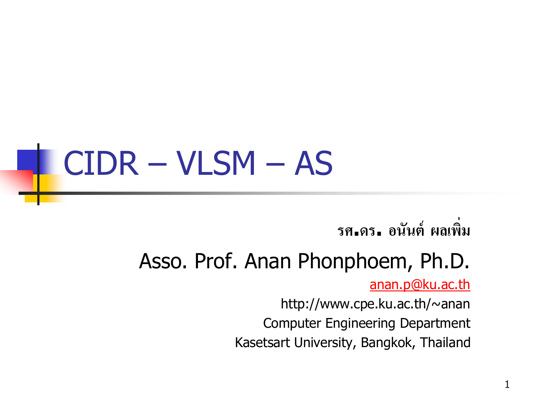#### CIDR – VLSM – AS

**รศ.ดร. อนันต์ ผลเพิ่ม**

#### Asso. Prof. Anan Phonphoem, Ph.D.

[anan.p@ku.ac.th](mailto:anan.p@cpe.ku.ac.th)

http://www.cpe.ku.ac.th/~anan Computer Engineering Department Kasetsart University, Bangkok, Thailand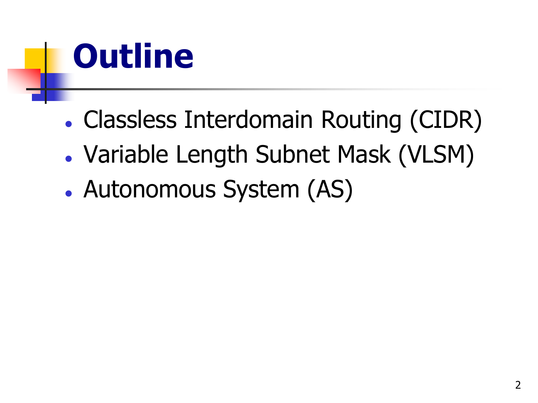

- Classless Interdomain Routing (CIDR)
- Variable Length Subnet Mask (VLSM)
- Autonomous System (AS)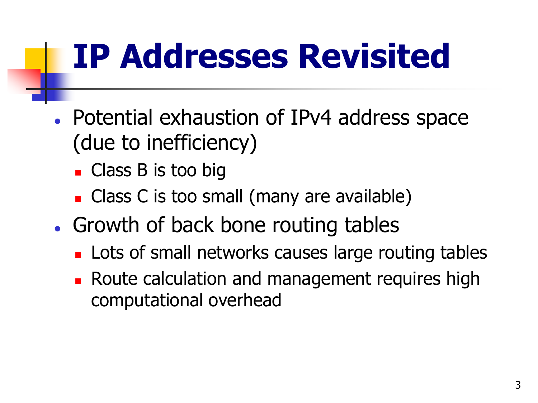# **IP Addresses Revisited**

- Potential exhaustion of IPv4 address space (due to inefficiency)
	- Class B is too big
	- Class C is too small (many are available)
- Growth of back bone routing tables
	- **Lots of small networks causes large routing tables**
	- **Route calculation and management requires high** computational overhead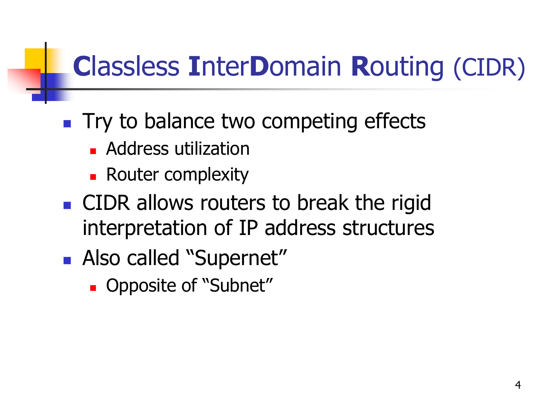#### **C**lassless **I**nter**D**omain **R**outing (CIDR)

- **Try to balance two competing effects** 
	- **Address utilization**
	- **Router complexity**
- **CIDR** allows routers to break the rigid interpretation of IP address structures
- **Also called "Supernet"** 
	- **Opposite of "Subnet"**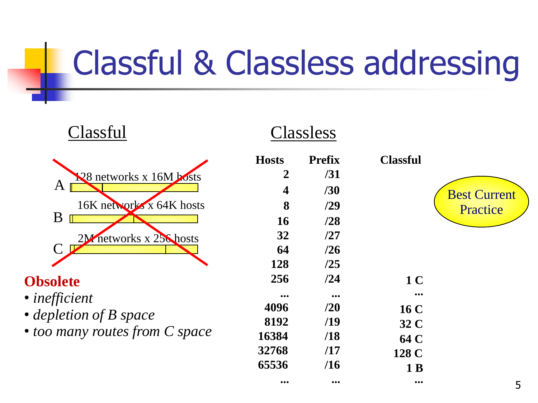### Classful & Classless addressing

| Classful                       | Classless               |                         |                         |                     |
|--------------------------------|-------------------------|-------------------------|-------------------------|---------------------|
|                                | <b>Hosts</b>            | <b>Prefix</b>           | <b>Classful</b>         |                     |
| 128 networks x 16M bosts       | 2                       | /31                     |                         |                     |
| A                              | 4                       | /30                     |                         | <b>Best Current</b> |
| 16K networks x 64K hosts       | 8                       | /29                     |                         | Practice            |
| B                              | <b>16</b>               | /28                     |                         |                     |
| 2M networks x 256 hosts        | 32                      | /27                     |                         |                     |
|                                | 64                      | /26                     |                         |                     |
|                                | 128                     | /25                     |                         |                     |
| <b>Obsolete</b>                | 256                     | /24                     | 1 <sup>C</sup>          |                     |
| • inefficient                  | $\bullet\bullet\bullet$ | $\bullet\bullet\bullet$ | $\bullet\bullet\bullet$ |                     |
| • depletion of B space         | 4096                    | /20                     | <b>16 C</b>             |                     |
|                                | 8192                    | /19                     | 32 C                    |                     |
| • too many routes from C space | 16384                   | /18                     | 64 C                    |                     |
|                                | 32768                   | /17                     | 128 C                   |                     |
|                                | 65536                   | /16                     | 1 B                     |                     |

**... ... ...**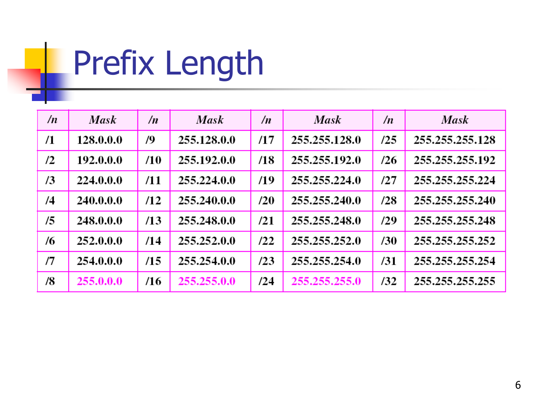### Prefix Length

| /n | <b>Mask</b> | $\sqrt{n}$ | <b>Mask</b> | $\sqrt{n}$ | <b>Mask</b>   | $\sqrt{n}$ | <b>Mask</b>     |
|----|-------------|------------|-------------|------------|---------------|------------|-----------------|
| /1 | 128.0.0.0   | 79         | 255.128.0.0 | /17        | 255.255.128.0 | /25        | 255.255.255.128 |
| /2 | 192.0.0.0   | /10        | 255.192.0.0 | /18        | 255.255.192.0 | /26        | 255.255.255.192 |
| /3 | 224.0.0.0   | /11        | 255.224.0.0 | /19        | 255.255.224.0 | 127        | 255.255.255.224 |
| /4 | 240.0.0.0   | /12        | 255.240.0.0 | /20        | 255.255.240.0 | /28        | 255.255.255.240 |
| /5 | 248.0.0.0   | /13        | 255.248.0.0 | /21        | 255.255.248.0 | /29        | 255.255.255.248 |
| /6 | 252.0.0.0   | /14        | 255.252.0.0 | /22        | 255.255.252.0 | /30        | 255.255.255.252 |
| /7 | 254.0.0.0   | /15        | 255.254.0.0 | /23        | 255.255.254.0 | /31        | 255.255.255.254 |
| /8 | 255.0.0.0   | /16        | 255.255.0.0 | /24        | 255.255.255.0 | /32        | 255.255.255.255 |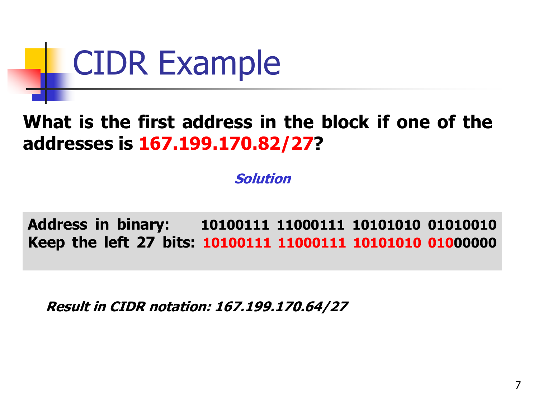

#### **What is the first address in the block if one of the addresses is 167.199.170.82/27?**

**Solution**

**Address in binary: 10100111 11000111 10101010 01010010 Keep the left 27 bits: 10100111 11000111 10101010 01000000**

**Result in CIDR notation: 167.199.170.64/27**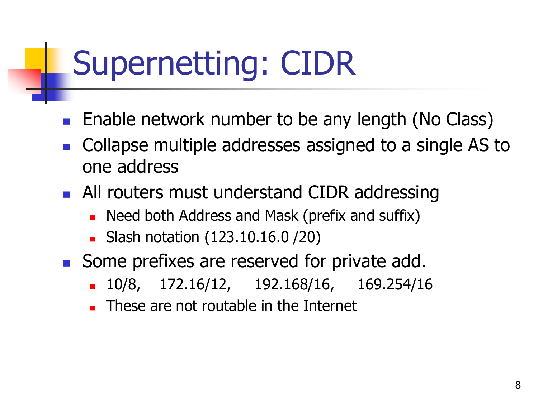#### Supernetting: CIDR

- **Enable network number to be any length (No Class)**
- Collapse multiple addresses assigned to a single AS to one address
- **All routers must understand CIDR addressing** 
	- **Need both Address and Mask (prefix and suffix)**
	- **Slash notation (123.10.16.0 / 20)**
- Some prefixes are reserved for private add.
	- 10/8, 172.16/12, 192.168/16, 169.254/16
	- These are not routable in the Internet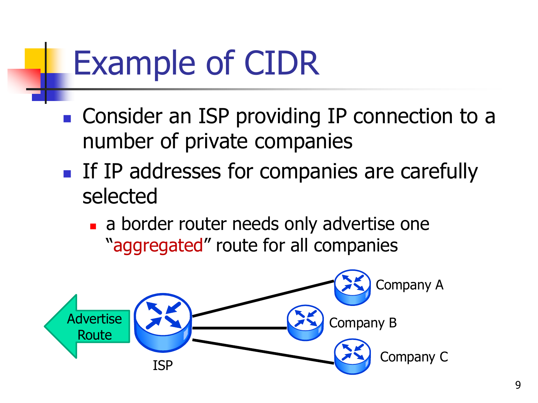#### Example of CIDR

- Consider an ISP providing IP connection to a number of private companies
- If IP addresses for companies are carefully selected
	- a border router needs only advertise one "aggregated" route for all companies

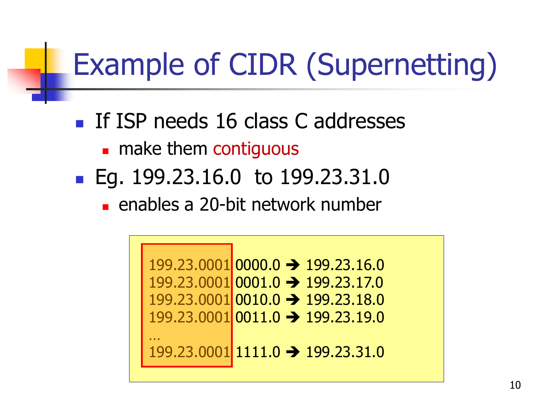#### Example of CIDR (Supernetting)

- If ISP needs 16 class C addresses
	- **n** make them contiguous
- Eg. 199.23.16.0 to 199.23.31.0
	- enables a 20-bit network number

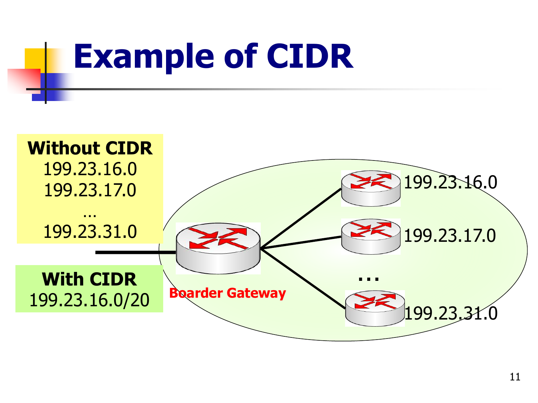

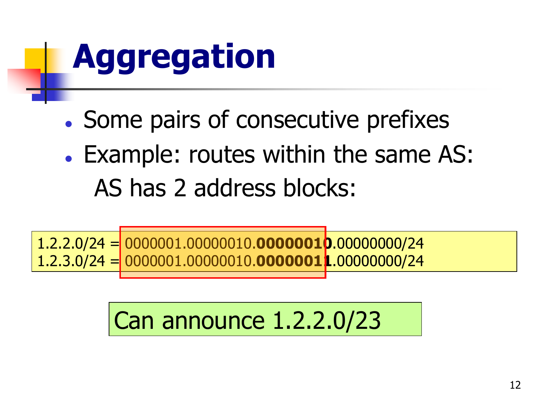# **Aggregation**

- . Some pairs of consecutive prefixes
- Example: routes within the same AS: AS has 2 address blocks:

1.2.2.0/24 = 0000001.00000010.**00000010**.00000000/24 1.2.3.0/24 = 0000001.00000010.**00000011**.00000000/24

#### Can announce 1.2.2.0/23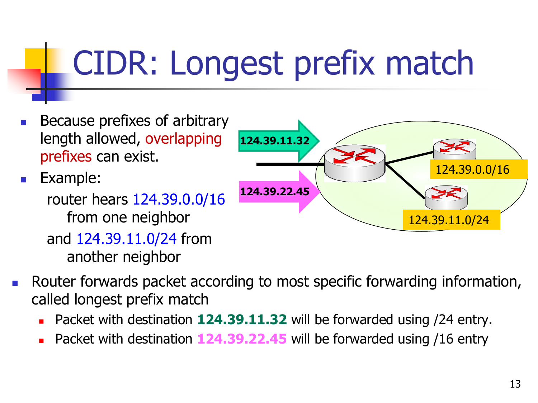## CIDR: Longest prefix match

- Because prefixes of arbitrary length allowed, overlapping prefixes can exist.
- **Example:** 
	- router hears 124.39.0.0/16 from one neighbor and 124.39.11.0/24 from another neighbor



- Router forwards packet according to most specific forwarding information, called longest prefix match
	- Packet with destination **124.39.11.32** will be forwarded using /24 entry.
	- Packet with destination **124.39.22.45** will be forwarded using /16 entry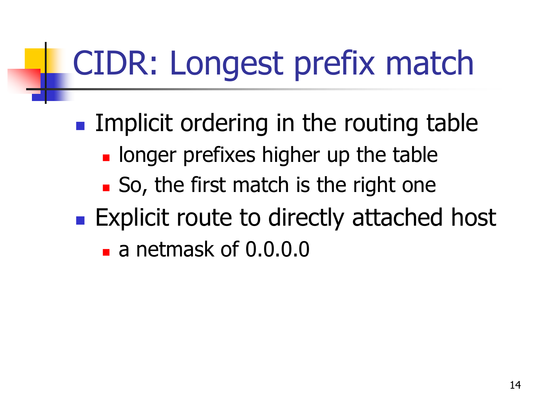## CIDR: Longest prefix match

**Implicit ordering in the routing table I** longer prefixes higher up the table ■ So, the first match is the right one **Explicit route to directly attached host** a netmask of 0.0.0.0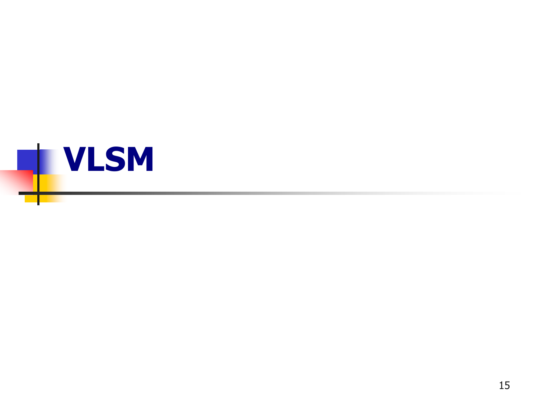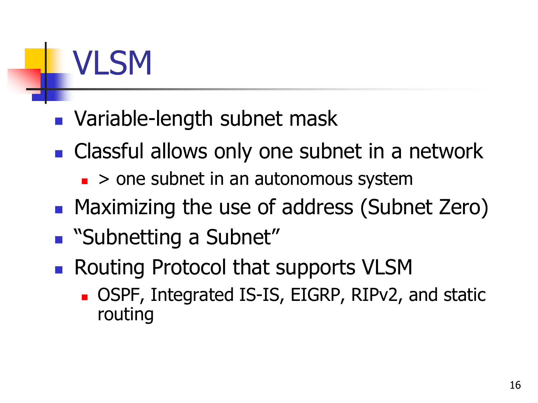

#### **Nariable-length subnet mask**

- **Classful allows only one subnet in a network** 
	- $\blacksquare$  > one subnet in an autonomous system
- Maximizing the use of address (Subnet Zero)
- **Bubnetting a Subnet"**
- Routing Protocol that supports VLSM
	- OSPF, Integrated IS-IS, EIGRP, RIPv2, and static routing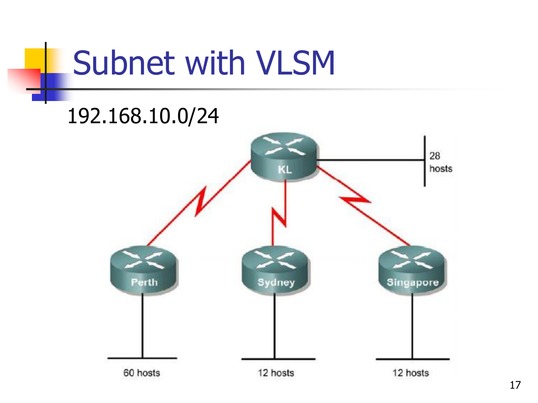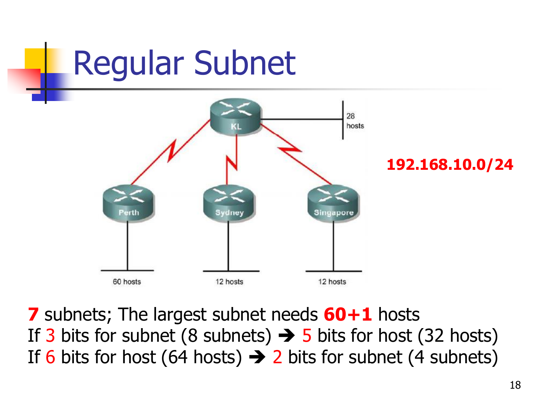

**7** subnets; The largest subnet needs **60+1** hosts If 3 bits for subnet (8 subnets)  $\rightarrow$  5 bits for host (32 hosts) If 6 bits for host (64 hosts)  $\rightarrow$  2 bits for subnet (4 subnets)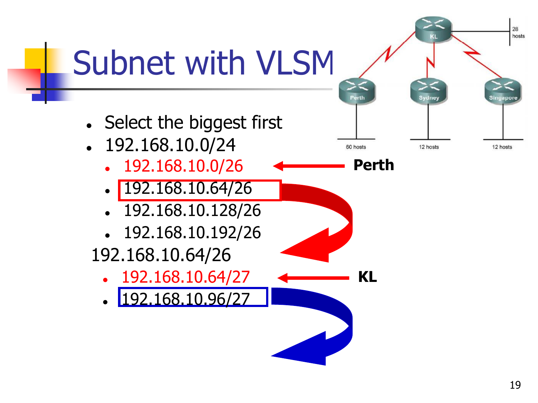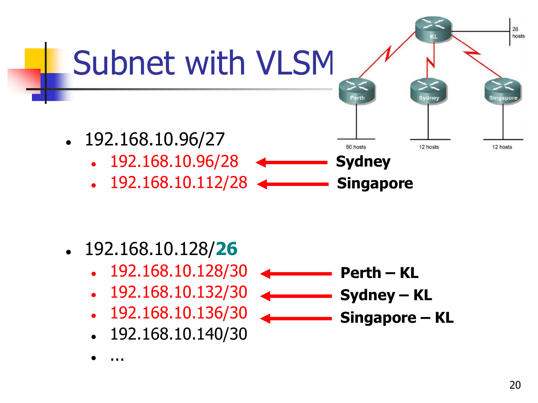

- 192.168.10.128/**26**
	- 192.168.10.128/30
	- 192.168.10.132/30
	- 192.168.10.136/30
	- 192.168.10.140/30

**Perth – KL Sydney – KL Singapore – KL** 

...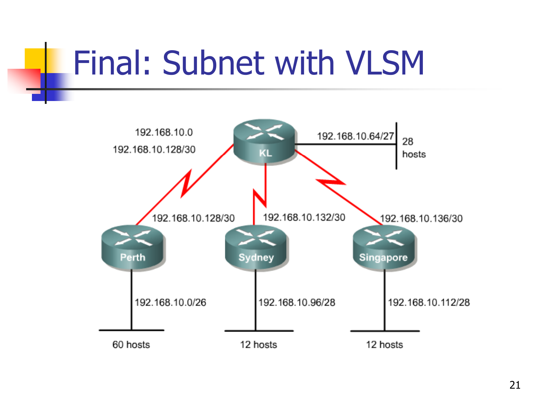### Final: Subnet with VLSM

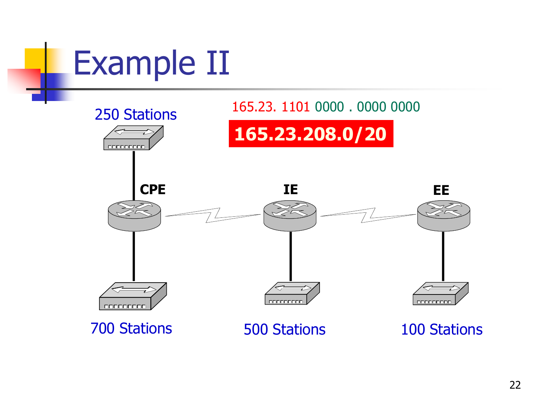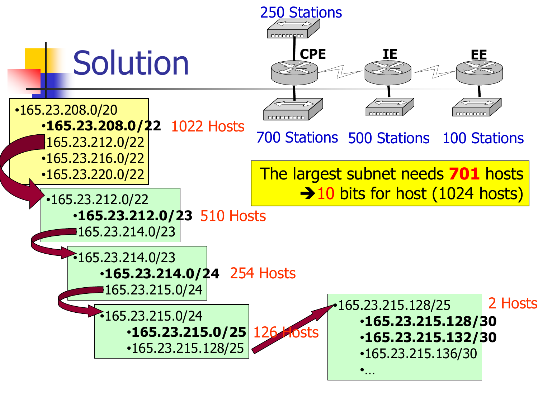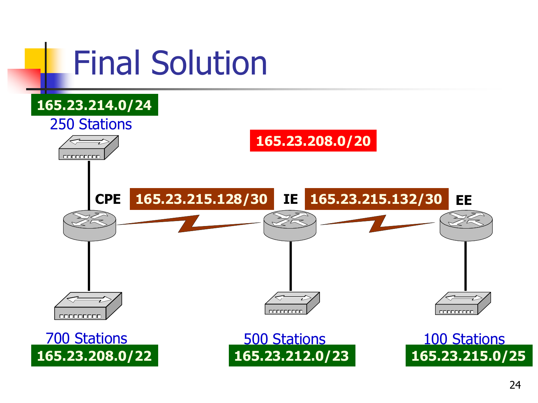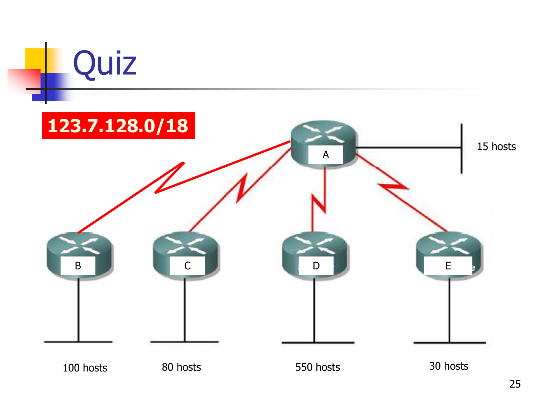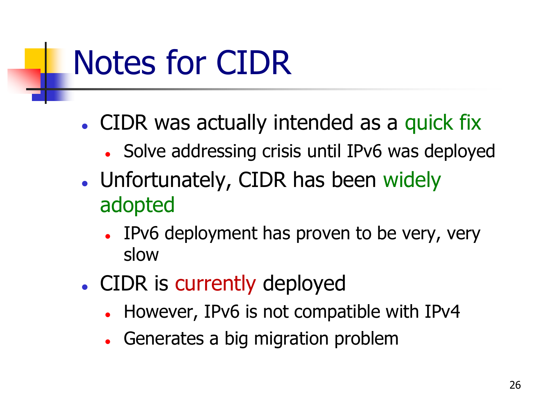### Notes for CIDR

- CIDR was actually intended as a quick fix
	- Solve addressing crisis until IPv6 was deployed
- Unfortunately, CIDR has been widely adopted
	- IPv6 deployment has proven to be very, very slow
- CIDR is currently deployed
	- However, IPv6 is not compatible with IPv4
	- Generates a big migration problem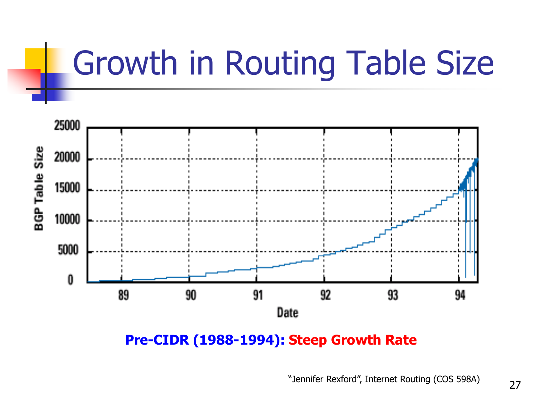## Growth in Routing Table Size



**Pre-CIDR (1988-1994): Steep Growth Rate**

"Jennifer Rexford", Internet Routing (COS 598A)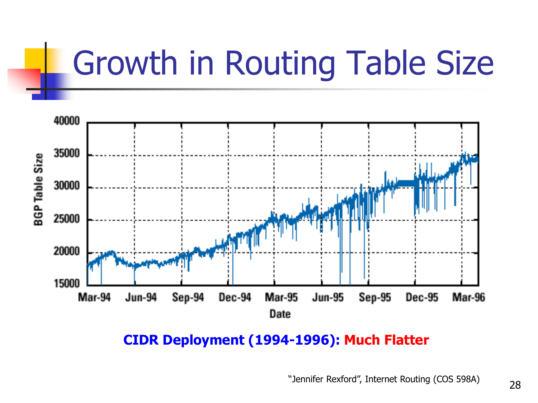## Growth in Routing Table Size



**CIDR Deployment (1994-1996): Much Flatter**

"Jennifer Rexford", Internet Routing (COS 598A)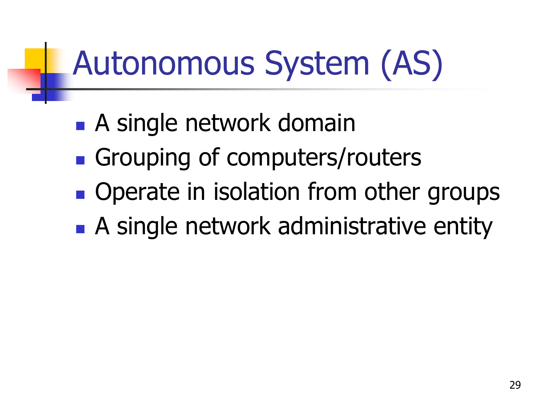# Autonomous System (AS)

- **A** single network domain
- **Grouping of computers/routers**
- **Operate in isolation from other groups**
- **A** single network administrative entity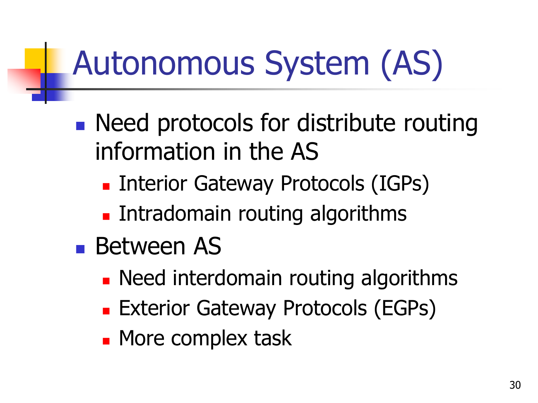# Autonomous System (AS)

- **Need protocols for distribute routing** information in the AS
	- **Example 1 Interior Gateway Protocols (IGPs)**
	- **Intradomain routing algorithms**
- Between AS
	- **Need interdomain routing algorithms**
	- **Exterior Gateway Protocols (EGPs)**
	- **Nore complex task**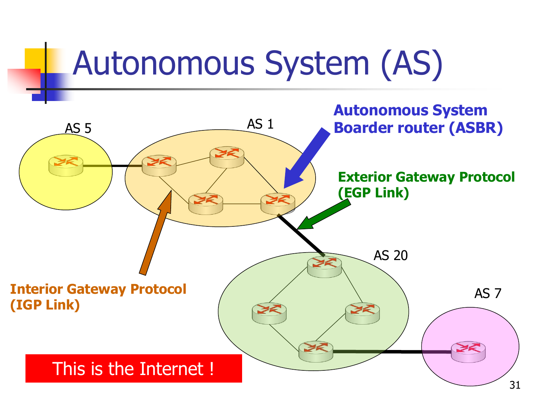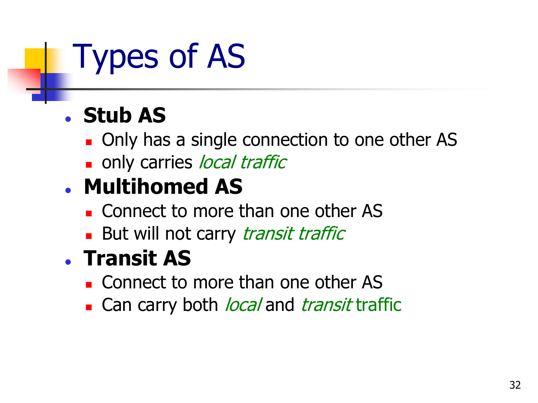## Types of AS

#### **Stub AS**

- **Diamage 1.1 Only has a single connection to one other AS**
- only carries *local traffic*

#### **Multihomed AS**

- **Connect to more than one other AS**
- **But will not carry transit traffic**

#### **Transit AS**

- **Connect to more than one other AS**
- Can carry both *local* and *transit* traffic